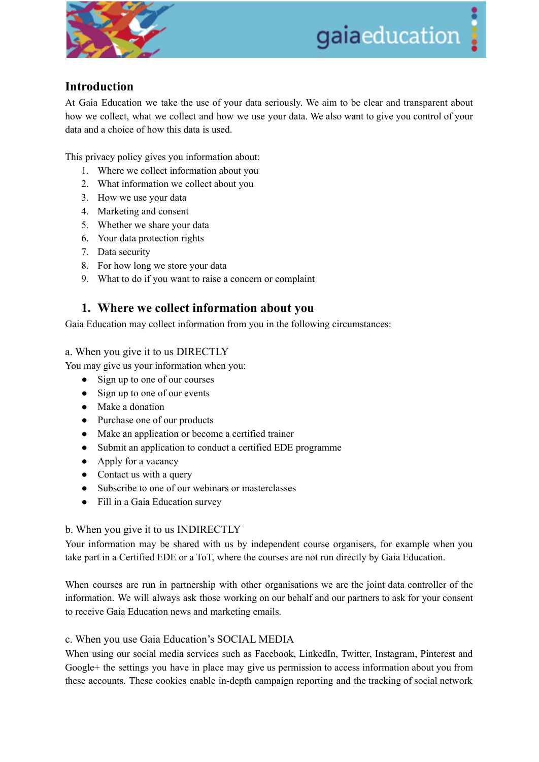

# gaiaeducation

# **Introduction**

At Gaia Education we take the use of your data seriously. We aim to be clear and transparent about how we collect, what we collect and how we use your data. We also want to give you control of your data and a choice of how this data is used.

This privacy policy gives you information about:

- 1. Where we collect information about you
- 2. What information we collect about you
- 3. How we use your data
- 4. Marketing and consent
- 5. Whether we share your data
- 6. Your data protection rights
- 7. Data security
- 8. For how long we store your data
- 9. What to do if you want to raise a concern or complaint

# **1. Where we collect information about you**

Gaia Education may collect information from you in the following circumstances:

#### a. When you give it to us DIRECTLY

You may give us your information when you:

- Sign up to one of our courses
- Sign up to one of our events
- Make a donation
- Purchase one of our products
- Make an application or become a certified trainer
- Submit an application to conduct a certified EDE programme
- Apply for a vacancy
- Contact us with a query
- Subscribe to one of our webinars or masterclasses
- Fill in a Gaia Education survey

# b. When you give it to us INDIRECTLY

Your information may be shared with us by independent course organisers, for example when you take part in a Certified EDE or a ToT, where the courses are not run directly by Gaia Education.

When courses are run in partnership with other organisations we are the joint data controller of the information. We will always ask those working on our behalf and our partners to ask for your consent to receive Gaia Education news and marketing emails.

# c. When you use Gaia Education's SOCIAL MEDIA

When using our social media services such as Facebook, LinkedIn, Twitter, Instagram, Pinterest and Google+ the settings you have in place may give us permission to access information about you from these accounts. These cookies enable in-depth campaign reporting and the tracking of social network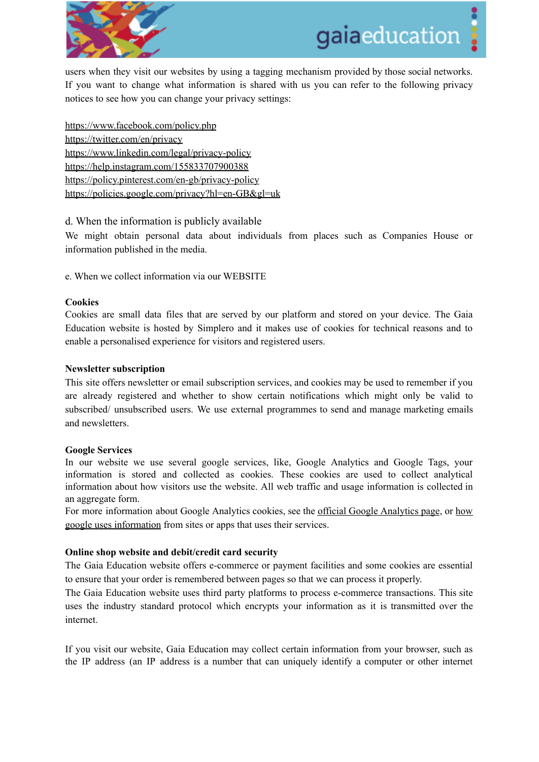

users when they visit our websites by using a tagging mechanism provided by those social networks. If you want to change what information is shared with us you can refer to the following privacy notices to see how you can change your privacy settings:

<https://www.facebook.com/policy.php> <https://twitter.com/en/privacy> <https://www.linkedin.com/legal/privacy-policy> <https://help.instagram.com/155833707900388> <https://policy.pinterest.com/en-gb/privacy-policy> <https://policies.google.com/privacy?hl=en-GB&gl=uk>

d. When the information is publicly available

We might obtain personal data about individuals from places such as Companies House or information published in the media.

e. When we collect information via our WEBSITE

#### **Cookies**

Cookies are small data files that are served by our platform and stored on your device. The Gaia Education website is hosted by Simplero and it makes use of cookies for technical reasons and to enable a personalised experience for visitors and registered users.

#### **Newsletter subscription**

This site offers newsletter or email subscription services, and cookies may be used to remember if you are already registered and whether to show certain notifications which might only be valid to subscribed/ unsubscribed users. We use external programmes to send and manage marketing emails and newsletters.

#### **Google Services**

In our website we use several google services, like, Google Analytics and Google Tags, your information is stored and collected as cookies. These cookies are used to collect analytical information about how visitors use the website. All web traffic and usage information is collected in an aggregate form.

For more information about Google Analytics cookies, see the official Google [Analytics](https://developers.google.com/analytics/resources/concepts/gaConceptsCookies) page, or [how](https://www.google.com/policies/technologies/partner-sites/) google uses [information](https://www.google.com/policies/technologies/partner-sites/) from sites or apps that uses their services.

#### **Online shop website and debit/credit card security**

The Gaia Education website offers e-commerce or payment facilities and some cookies are essential to ensure that your order is remembered between pages so that we can process it properly.

The Gaia Education website uses third party platforms to process e-commerce transactions. This site uses the industry standard protocol which encrypts your information as it is transmitted over the internet.

If you visit our website, Gaia Education may collect certain information from your browser, such as the IP address (an IP address is a number that can uniquely identify a computer or other internet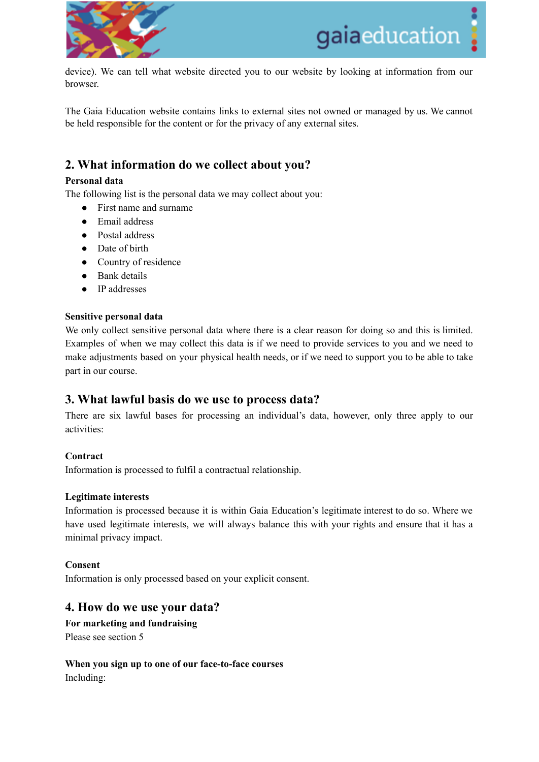

device). We can tell what website directed you to our website by looking at information from our browser.

The Gaia Education website contains links to external sites not owned or managed by us. We cannot be held responsible for the content or for the privacy of any external sites.

# **2. What information do we collect about you?**

#### **Personal data**

The following list is the personal data we may collect about you:

- First name and surname
- Email address
- Postal address
- Date of birth
- Country of residence
- Bank details
- IP addresses

#### **Sensitive personal data**

We only collect sensitive personal data where there is a clear reason for doing so and this is limited. Examples of when we may collect this data is if we need to provide services to you and we need to make adjustments based on your physical health needs, or if we need to support you to be able to take part in our course.

# **3. What lawful basis do we use to process data?**

There are six lawful bases for processing an individual's data, however, only three apply to our activities:

#### **Contract**

Information is processed to fulfil a contractual relationship.

#### **Legitimate interests**

Information is processed because it is within Gaia Education's legitimate interest to do so. Where we have used legitimate interests, we will always balance this with your rights and ensure that it has a minimal privacy impact.

#### **Consent**

Information is only processed based on your explicit consent.

# **4. How do we use your data?**

**For marketing and fundraising** Please see section 5

**When you sign up to one of our face-to-face courses** Including: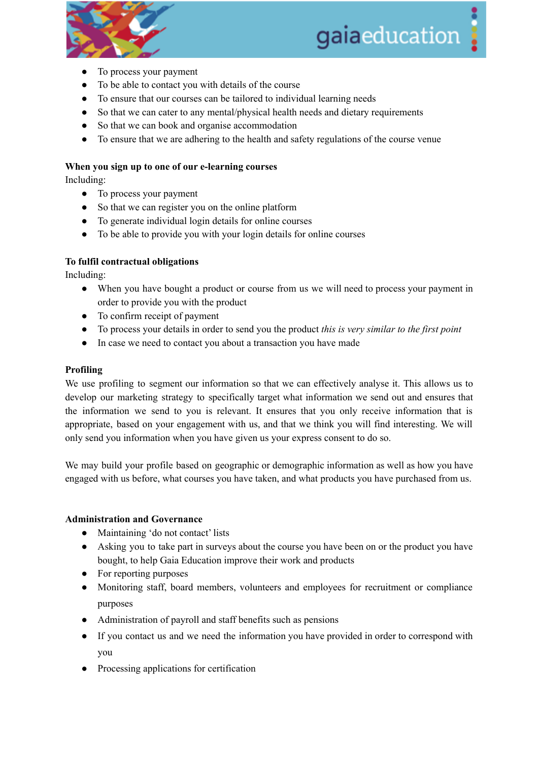

# gaiaeducation

- To process your payment
- To be able to contact you with details of the course
- To ensure that our courses can be tailored to individual learning needs
- So that we can cater to any mental/physical health needs and dietary requirements
- So that we can book and organise accommodation
- To ensure that we are adhering to the health and safety regulations of the course venue

#### **When you sign up to one of our e-learning courses**

Including:

- To process your payment
- So that we can register you on the online platform
- To generate individual login details for online courses
- To be able to provide you with your login details for online courses

#### **To fulfil contractual obligations**

Including:

- When you have bought a product or course from us we will need to process your payment in order to provide you with the product
- To confirm receipt of payment
- *●* To process your details in order to send you the product *this is very similar to the first point*
- In case we need to contact you about a transaction you have made

#### **Profiling**

We use profiling to segment our information so that we can effectively analyse it. This allows us to develop our marketing strategy to specifically target what information we send out and ensures that the information we send to you is relevant. It ensures that you only receive information that is appropriate, based on your engagement with us, and that we think you will find interesting. We will only send you information when you have given us your express consent to do so.

We may build your profile based on geographic or demographic information as well as how you have engaged with us before, what courses you have taken, and what products you have purchased from us.

#### **Administration and Governance**

- Maintaining 'do not contact' lists
- Asking you to take part in surveys about the course you have been on or the product you have bought, to help Gaia Education improve their work and products
- For reporting purposes
- Monitoring staff, board members, volunteers and employees for recruitment or compliance purposes
- Administration of payroll and staff benefits such as pensions
- If you contact us and we need the information you have provided in order to correspond with you
- Processing applications for certification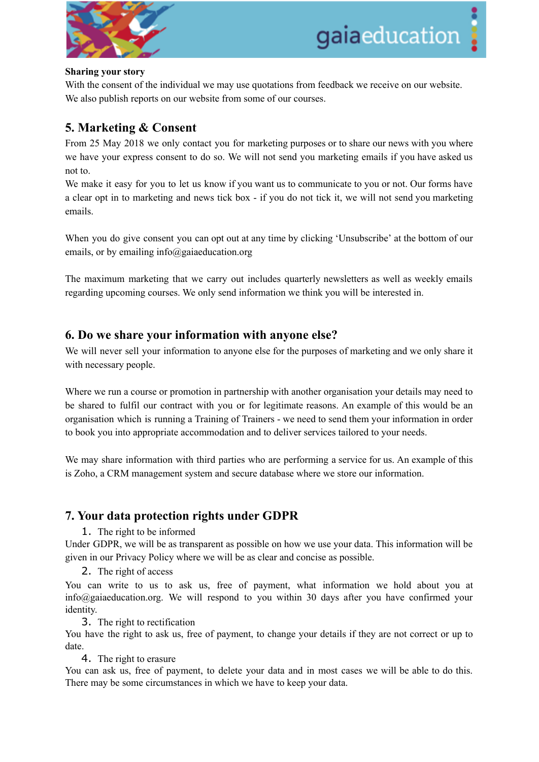

#### **Sharing your story**

With the consent of the individual we may use quotations from feedback we receive on our website. We also publish reports on our website from some of our courses.

# **5. Marketing & Consent**

From 25 May 2018 we only contact you for marketing purposes or to share our news with you where we have your express consent to do so. We will not send you marketing emails if you have asked us not to.

We make it easy for you to let us know if you want us to communicate to you or not. Our forms have a clear opt in to marketing and news tick box - if you do not tick it, we will not send you marketing emails.

When you do give consent you can opt out at any time by clicking 'Unsubscribe' at the bottom of our emails, or by emailing info@gaiaeducation.org

The maximum marketing that we carry out includes quarterly newsletters as well as weekly emails regarding upcoming courses. We only send information we think you will be interested in.

# **6. Do we share your information with anyone else?**

We will never sell your information to anyone else for the purposes of marketing and we only share it with necessary people.

Where we run a course or promotion in partnership with another organisation your details may need to be shared to fulfil our contract with you or for legitimate reasons. An example of this would be an organisation which is running a Training of Trainers - we need to send them your information in order to book you into appropriate accommodation and to deliver services tailored to your needs.

We may share information with third parties who are performing a service for us. An example of this is Zoho, a CRM management system and secure database where we store our information.

# **7. Your data protection rights under GDPR**

1. The right to be informed

Under GDPR, we will be as transparent as possible on how we use your data. This information will be given in our Privacy Policy where we will be as clear and concise as possible.

2. The right of access

You can write to us to ask us, free of payment, what information we hold about you at info@gaiaeducation.org. We will respond to you within 30 days after you have confirmed your identity.

3. The right to rectification

You have the right to ask us, free of payment, to change your details if they are not correct or up to date.

4. The right to erasure

You can ask us, free of payment, to delete your data and in most cases we will be able to do this. There may be some circumstances in which we have to keep your data.